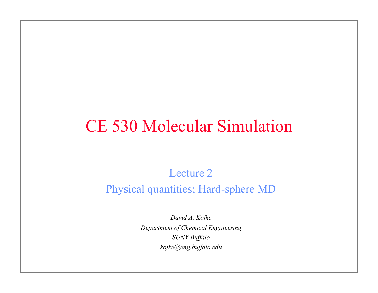### CE 530 Molecular Simulation

1

Lecture 2 Physical quantities; Hard-sphere MD

> *David A. Kofke Department of Chemical Engineering SUNY Buffalo kofke@eng.buffalo.edu*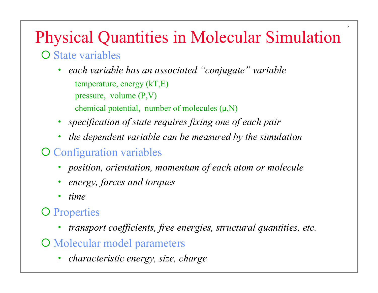# Physical Quantities in Molecular Simulation

2

#### O State variables

- *each variable has an associated "conjugate" variable*  temperature, energy (kT,E) pressure, volume (P,V) chemical potential, number of molecules  $(\mu, N)$
- *specification of state requires fixing one of each pair*
- *the dependent variable can be measured by the simulation*

#### **O** Configuration variables

- *position, orientation, momentum of each atom or molecule*
- *energy, forces and torques*
- *time*

#### **O** Properties

- *transport coefficients, free energies, structural quantities, etc.*
- O Molecular model parameters
	- *characteristic energy, size, charge*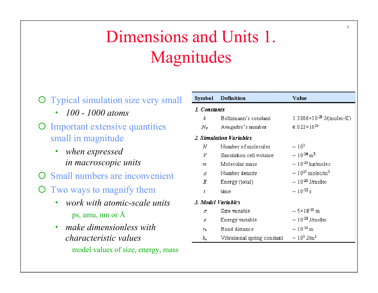## Dimensions and Units 1. Magnitudes

- **O** Typical simulation size very small • *100 - 1000 atoms*  **O** Important extensive quantities small in magnitude
	- *when expressed in macroscopic units*
- **O** Small numbers are inconvenient
- ¡ Two ways to magnify them
	- *work with atomic-scale units*  ps, amu, nm or Å
	- *make dimensionless with characteristic values*  model values of size, energy, mass

| Symbol                  | Definition                  | Value                               |  |  |
|-------------------------|-----------------------------|-------------------------------------|--|--|
| 1. Constants            |                             |                                     |  |  |
| k                       | Boltzmann's constant.       | $1.3806\times10^{23}$ J/(molec K)   |  |  |
| $N_{\theta}$            | Avagadro's number           | $6.022\times10^{23}$                |  |  |
| 2. Simulation Variables |                             |                                     |  |  |
| N                       | Number of molecules         | $\sim 10^3$                         |  |  |
| V                       | Simulation cell volume      | $\sim 10^{-24}$ m <sup>3</sup>      |  |  |
| m                       | Molecular mass              | $\sim 10^{45}$ kg/molec             |  |  |
| o                       | Number density              | $\sim 10^{27}$ molec/m <sup>3</sup> |  |  |
| Ε                       | Energy (total)              | $\sim 10^{40}$ J/molec              |  |  |
| t                       | time                        | $\sim 10^{-12}$ s                   |  |  |
| 3. Model Variables      |                             |                                     |  |  |
| σ                       | Size variable               | $\sim$ 5×10 <sup>-10</sup> m        |  |  |
| E                       | Energy variable             | $\sim 10^{-21}$ J/mo1ec             |  |  |
| Yд                      | Bond distance               | $\sim 10^{-10}$ m                   |  |  |
| k,                      | Vibrational spring constant | $\sim 10^3$ J/m <sup>2</sup>        |  |  |

3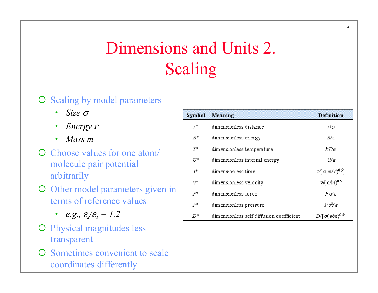### Dimensions and Units 2. Scaling

#### O Scaling by model parameters

- *Size* <sup>σ</sup>
- *Energy* <sup>ε</sup>
- *Mass m*
- $\overline{O}$  Choose values for one atom/ molecule pair potential arbitrarily
- O Other model parameters given in terms of reference values
	- *e.g.,*  $\varepsilon_2/\varepsilon_1 = 1.2$
- O Physical magnitudes less transparent
- **O** Sometimes convenient to scale coordinates differently

| Symbol         | Meaning                                  | <b>Definition</b>                                |
|----------------|------------------------------------------|--------------------------------------------------|
| y*             | dimensionless distance.                  | yΙσ                                              |
| $E^\ast$       | dimensionless energy                     | $E/\epsilon$                                     |
| 7*             | dimensionless temperature                | kT∕∈                                             |
| U*             | dimensionless internal energy            | U∕ ∈                                             |
| $t^*$          | dimensionless time                       | $t$ [ $\sigma$ (m/ $\epsilon$ ) <sup>0.5</sup> ] |
| $\mathrm{v}^*$ | dimensionless velocity                   | $V/(E/m)^{0.5}$                                  |
| ም*             | dimensionless force                      | Fo/e                                             |
| р*             | dimensionless pressure                   | Po∛e                                             |
| D*             | dimensionless self diffusion coefficient | $D/[\sigma(\epsilon/m)^{0.5}]$                   |
|                |                                          |                                                  |

4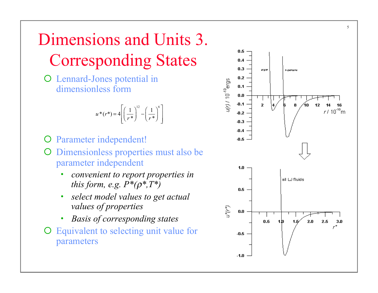### Dimensions and Units 3. Corresponding States

O Lennard-Jones potential in dimensionless form

$$
u^*(r^*) = 4\left[\left(\frac{1}{r^*}\right)^{12} - \left(\frac{1}{r^*}\right)^6\right]
$$

- O Parameter independent!
- ¡ Dimensionless properties must also be parameter independent
	- *convenient to report properties in this form, e.g. P\*(*ρ*\*,T\*)*
	- *select model values to get actual values of properties*
	- *Basis of corresponding states*
- $\overline{O}$  Equivalent to selecting unit value for Parameter i<br>
Dimensionl<br>
parameter is<br>
convenia<br>
this forn<br>
select m<br>
values o<br>
Basis of<br>
Equivalent<br>
parameters



5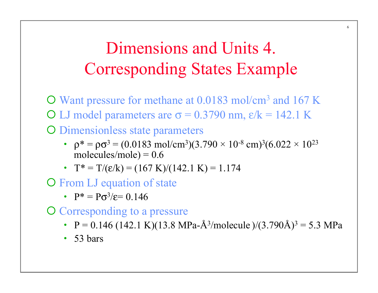### Dimensions and Units 4. Corresponding States Example

¡ Want pressure for methane at 0.0183 mol/cm3 and 167 K O LJ model parameters are  $\sigma$  = 0.3790 nm,  $\epsilon/k$  = 142.1 K O Dimensionless state parameters

- $\rho^* = \rho \sigma^3 = (0.0183 \text{ mol/cm}^3)(3.790 \times 10^{-8} \text{ cm})^3(6.022 \times 10^{23} \text{ m})$ molecules/mole) =  $0.6$
- $T^* = T/(\varepsilon/k) = (167 \text{ K})/(142.1 \text{ K}) = 1.174$

**O** From LJ equation of state

•  $P^* = P\sigma^3/\epsilon = 0.146$ 

O Corresponding to a pressure

•  $P = 0.146$  (142.1 K)(13.8 MPa-Å<sup>3</sup>/molecule )/(3.790Å)<sup>3</sup> = 5.3 MPa

• 53 bars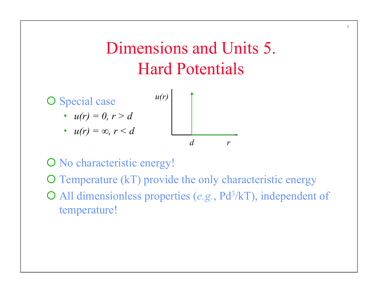### Dimensions and Units 5. Hard Potentials

7



O No characteristic energy!

 $\overline{O}$  Temperature (kT) provide the only characteristic energy

¡ All dimensionless properties (*e.g.*, Pd3/kT), independent of temperature!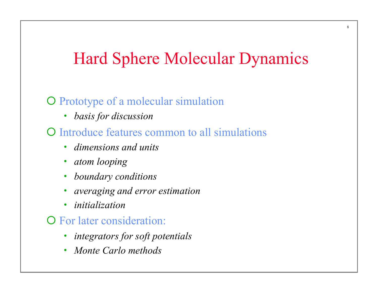### Hard Sphere Molecular Dynamics

#### O Prototype of a molecular simulation

• *basis for discussion* 

#### ¡ Introduce features common to all simulations

- *dimensions and units*
- *atom looping*
- *boundary conditions*
- *averaging and error estimation*
- *initialization*

#### **O** For later consideration:

- *integrators for soft potentials*
- *Monte Carlo methods*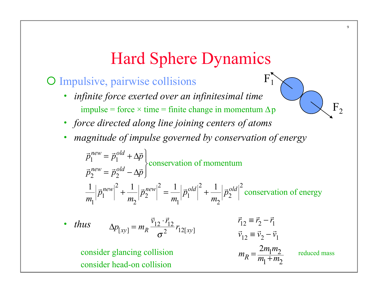#### Hard Sphere Dynamics

 $F_{1}$ 

#### O Impulsive, pairwise collisions

- *infinite force exerted over an infinitesimal time*  impulse = force  $\times$  time = finite change in momentum  $\Delta p$
- *force directed along line joining centers of atoms*
- *magnitude of impulse governed by conservation of energy*

$$
\vec{p}_1^{new} = \vec{p}_1^{old} + \Delta \vec{p}
$$
\n
$$
\vec{p}_2^{new} = \vec{p}_2^{old} - \Delta \vec{p}
$$
\n
$$
\frac{1}{m_1} |\vec{p}_1^{new}|^2 + \frac{1}{m_2} |\vec{p}_2^{new}|^2 = \frac{1}{m_1} |\vec{p}_1^{old}|^2 + \frac{1}{m_2} |\vec{p}_2^{old}|^2
$$
\nconservation of energy

• *thus* 
$$
\Delta p_{[xy]} = m_R \frac{\vec{v}_{12} \cdot \vec{r}_{12}}{\sigma^2} r_{12[xy]}
$$

$$
\vec{v}_{12} = \vec{v}_2 - \vec{v}_1
$$
  
consider glancing collision 
$$
m_R = \frac{2m_1m_2}{m_1 + m_2}
$$

reduced mass

 $F<sub>2</sub>$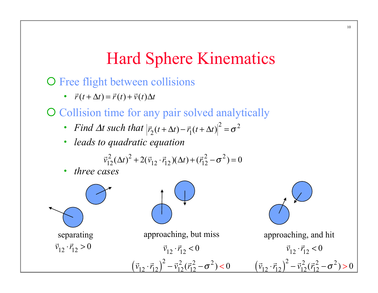#### Hard Sphere Kinematics

O Free flight between collisions

•  $\vec{r}(t + \Delta t) = \vec{r}(t) + \vec{v}(t)\Delta t$ 

O Collision time for any pair solved analytically

- *Find Δt such that*  $|\vec{r}|$  $\vec{r}_2(t + \Delta t) - \vec{r}_1(t + \Delta t)^2 = \sigma^2$
- *leads to quadratic equation*

$$
\vec{v}_{12}^2 (\Delta t)^2 + 2(\vec{v}_{12} \cdot \vec{r}_{12}) (\Delta t) + (\vec{r}_{12}^2 - \sigma^2) = 0
$$

• *three cases* 

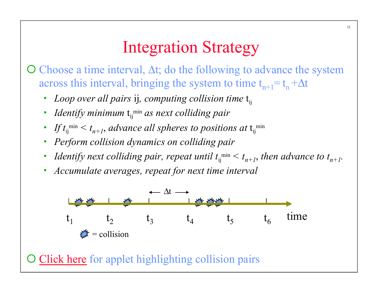### Integration Strategy

 $\overline{O}$  Choose a time interval,  $\Delta t$ ; do the following to advance the system across this interval, bringing the system to time  $t_{n+1} = t_n + \Delta t$ 

- *Loop over all pairs ij, computing collision time*  $t_{ii}$
- *Identify minimum*  $t_{ij}^{min}$  *as next colliding pair*
- If  $t_{ij}$ <sup>min</sup>  $\le t_{n+1}$ , advance all spheres to positions at  $t_{ij}$ <sup>min</sup>
- *Perform collision dynamics on colliding pair*
- *Identify next colliding pair, repeat until*  $t_{ij}^{min} < t_{n+1}$ , then advance to  $t_{n+1}$ .
- *Accumulate averages, repeat for next time interval*



O Click here for applet highlighting collision pairs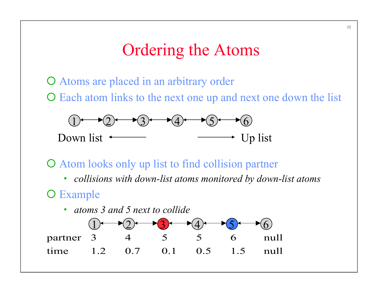#### Ordering the Atoms

O Atoms are placed in an arbitrary order

 $\overline{O}$  Each atom links to the next one up and next one down the list



 $\overline{O}$  Atom looks only up list to find collision partner

• *collisions with down-list atoms monitored by down-list atoms* 

O Example

• *atoms 3 and 5 next to collide*